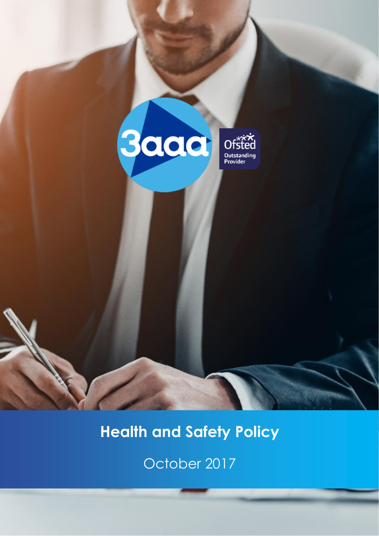

# **Health and Safety Policy**

October 2017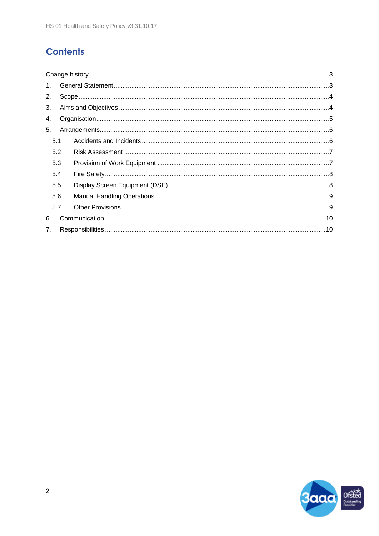# **Contents**

| 1 <sub>1</sub> |     |  |  |  |  |  |  |  |
|----------------|-----|--|--|--|--|--|--|--|
| 2.             |     |  |  |  |  |  |  |  |
| 3.             |     |  |  |  |  |  |  |  |
| 4.             |     |  |  |  |  |  |  |  |
| 5.             |     |  |  |  |  |  |  |  |
| 5.1            |     |  |  |  |  |  |  |  |
|                | 5.2 |  |  |  |  |  |  |  |
|                | 5.3 |  |  |  |  |  |  |  |
|                | 5.4 |  |  |  |  |  |  |  |
| 5.5            |     |  |  |  |  |  |  |  |
|                | 5.6 |  |  |  |  |  |  |  |
|                | 5.7 |  |  |  |  |  |  |  |
| 6.             |     |  |  |  |  |  |  |  |
| 7.             |     |  |  |  |  |  |  |  |

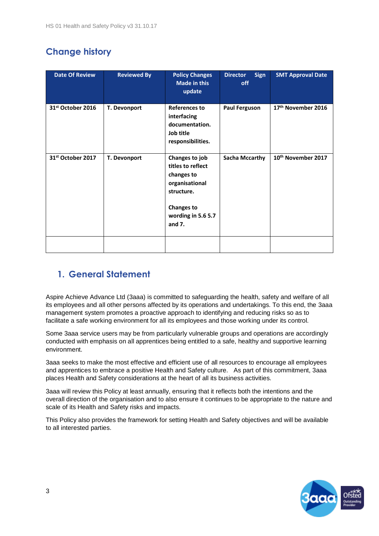# <span id="page-2-0"></span>**Change history**

| <b>Date Of Review</b>         | <b>Reviewed By</b> | <b>Policy Changes</b><br>Made in this<br>update                                                                                          | <b>Sign</b><br><b>Director</b><br>off | <b>SMT Approval Date</b>       |
|-------------------------------|--------------------|------------------------------------------------------------------------------------------------------------------------------------------|---------------------------------------|--------------------------------|
| 31 <sup>st</sup> October 2016 | T. Devonport       | <b>References to</b><br>interfacing<br>documentation.<br>Job title<br>responsibilities.                                                  | <b>Paul Ferguson</b>                  | 17 <sup>th</sup> November 2016 |
| 31st October 2017             | T. Devonport       | Changes to job<br>titles to reflect<br>changes to<br>organisational<br>structure.<br><b>Changes to</b><br>wording in 5.6 5.7<br>and $7.$ | <b>Sacha Mccarthy</b>                 | 10th November 2017             |
|                               |                    |                                                                                                                                          |                                       |                                |

## <span id="page-2-1"></span>**1. General Statement**

Aspire Achieve Advance Ltd (3aaa) is committed to safeguarding the health, safety and welfare of all its employees and all other persons affected by its operations and undertakings. To this end, the 3aaa management system promotes a proactive approach to identifying and reducing risks so as to facilitate a safe working environment for all its employees and those working under its control.

Some 3aaa service users may be from particularly vulnerable groups and operations are accordingly conducted with emphasis on all apprentices being entitled to a safe, healthy and supportive learning environment.

3aaa seeks to make the most effective and efficient use of all resources to encourage all employees and apprentices to embrace a positive Health and Safety culture. As part of this commitment, 3aaa places Health and Safety considerations at the heart of all its business activities.

3aaa will review this Policy at least annually, ensuring that it reflects both the intentions and the overall direction of the organisation and to also ensure it continues to be appropriate to the nature and scale of its Health and Safety risks and impacts.

This Policy also provides the framework for setting Health and Safety objectives and will be available to all interested parties.

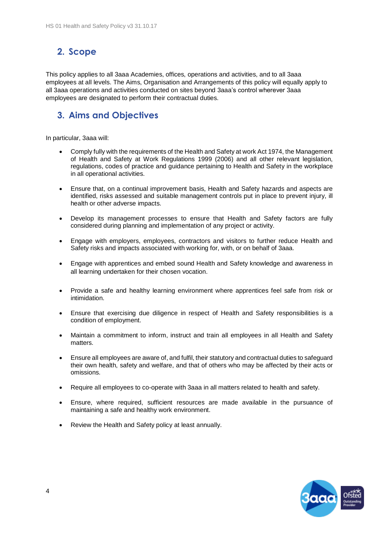## <span id="page-3-0"></span>**2. Scope**

This policy applies to all 3aaa Academies, offices, operations and activities, and to all 3aaa employees at all levels. The Aims, Organisation and Arrangements of this policy will equally apply to all 3aaa operations and activities conducted on sites beyond 3aaa's control wherever 3aaa employees are designated to perform their contractual duties.

## <span id="page-3-1"></span>**3. Aims and Objectives**

In particular, 3aaa will:

- Comply fully with the requirements of the Health and Safety at work Act 1974, the Management of Health and Safety at Work Regulations 1999 (2006) and all other relevant legislation, regulations, codes of practice and guidance pertaining to Health and Safety in the workplace in all operational activities.
- Ensure that, on a continual improvement basis, Health and Safety hazards and aspects are identified, risks assessed and suitable management controls put in place to prevent injury, ill health or other adverse impacts.
- Develop its management processes to ensure that Health and Safety factors are fully considered during planning and implementation of any project or activity.
- Engage with employers, employees, contractors and visitors to further reduce Health and Safety risks and impacts associated with working for, with, or on behalf of 3aaa.
- Engage with apprentices and embed sound Health and Safety knowledge and awareness in all learning undertaken for their chosen vocation.
- Provide a safe and healthy learning environment where apprentices feel safe from risk or intimidation.
- Ensure that exercising due diligence in respect of Health and Safety responsibilities is a condition of employment.
- Maintain a commitment to inform, instruct and train all employees in all Health and Safety matters.
- Ensure all employees are aware of, and fulfil, their statutory and contractual duties to safeguard their own health, safety and welfare, and that of others who may be affected by their acts or omissions.
- Require all employees to co-operate with 3aaa in all matters related to health and safety.
- Ensure, where required, sufficient resources are made available in the pursuance of maintaining a safe and healthy work environment.
- Review the Health and Safety policy at least annually.

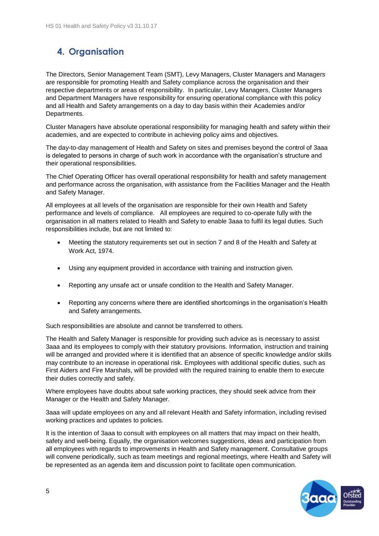# <span id="page-4-0"></span>**4. Organisation**

The Directors, Senior Management Team (SMT), Levy Managers, Cluster Managers and Managers are responsible for promoting Health and Safety compliance across the organisation and their respective departments or areas of responsibility. In particular, Levy Managers, Cluster Managers and Department Managers have responsibility for ensuring operational compliance with this policy and all Health and Safety arrangements on a day to day basis within their Academies and/or Departments.

Cluster Managers have absolute operational responsibility for managing health and safety within their academies, and are expected to contribute in achieving policy aims and objectives.

The day-to-day management of Health and Safety on sites and premises beyond the control of 3aaa is delegated to persons in charge of such work in accordance with the organisation's structure and their operational responsibilities.

The Chief Operating Officer has overall operational responsibility for health and safety management and performance across the organisation, with assistance from the Facilities Manager and the Health and Safety Manager.

All employees at all levels of the organisation are responsible for their own Health and Safety performance and levels of compliance. All employees are required to co-operate fully with the organisation in all matters related to Health and Safety to enable 3aaa to fulfil its legal duties. Such responsibilities include, but are not limited to:

- Meeting the statutory requirements set out in section 7 and 8 of the Health and Safety at Work Act, 1974.
- Using any equipment provided in accordance with training and instruction given.
- Reporting any unsafe act or unsafe condition to the Health and Safety Manager.
- Reporting any concerns where there are identified shortcomings in the organisation's Health and Safety arrangements.

Such responsibilities are absolute and cannot be transferred to others.

The Health and Safety Manager is responsible for providing such advice as is necessary to assist 3aaa and its employees to comply with their statutory provisions. Information, instruction and training will be arranged and provided where it is identified that an absence of specific knowledge and/or skills may contribute to an increase in operational risk. Employees with additional specific duties, such as First Aiders and Fire Marshals, will be provided with the required training to enable them to execute their duties correctly and safely.

Where employees have doubts about safe working practices, they should seek advice from their Manager or the Health and Safety Manager.

3aaa will update employees on any and all relevant Health and Safety information, including revised working practices and updates to policies.

It is the intention of 3aaa to consult with employees on all matters that may impact on their health, safety and well-being. Equally, the organisation welcomes suggestions, ideas and participation from all employees with regards to improvements in Health and Safety management. Consultative groups will convene periodically, such as team meetings and regional meetings, where Health and Safety will be represented as an agenda item and discussion point to facilitate open communication.

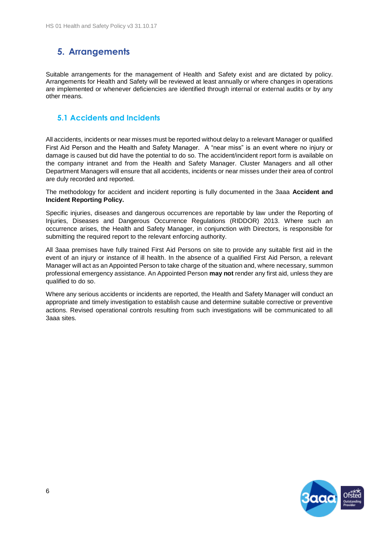## <span id="page-5-0"></span>**5. Arrangements**

Suitable arrangements for the management of Health and Safety exist and are dictated by policy. Arrangements for Health and Safety will be reviewed at least annually or where changes in operations are implemented or whenever deficiencies are identified through internal or external audits or by any other means.

#### <span id="page-5-1"></span>**5.1 Accidents and Incidents**

All accidents, incidents or near misses must be reported without delay to a relevant Manager or qualified First Aid Person and the Health and Safety Manager. A "near miss" is an event where no injury or damage is caused but did have the potential to do so. The accident/incident report form is available on the company intranet and from the Health and Safety Manager. Cluster Managers and all other Department Managers will ensure that all accidents, incidents or near misses under their area of control are duly recorded and reported.

The methodology for accident and incident reporting is fully documented in the 3aaa **Accident and Incident Reporting Policy.**

Specific injuries, diseases and dangerous occurrences are reportable by law under the Reporting of Injuries, Diseases and Dangerous Occurrence Regulations (RIDDOR) 2013. Where such an occurrence arises, the Health and Safety Manager, in conjunction with Directors, is responsible for submitting the required report to the relevant enforcing authority.

All 3aaa premises have fully trained First Aid Persons on site to provide any suitable first aid in the event of an injury or instance of ill health. In the absence of a qualified First Aid Person, a relevant Manager will act as an Appointed Person to take charge of the situation and, where necessary, summon professional emergency assistance. An Appointed Person **may not** render any first aid, unless they are qualified to do so.

Where any serious accidents or incidents are reported, the Health and Safety Manager will conduct an appropriate and timely investigation to establish cause and determine suitable corrective or preventive actions. Revised operational controls resulting from such investigations will be communicated to all 3aaa sites.

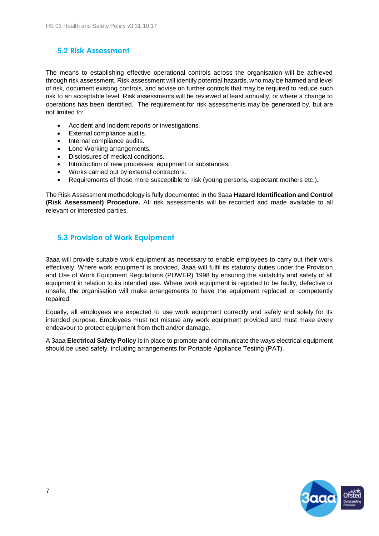#### <span id="page-6-0"></span>**5.2 Risk Assessment**

The means to establishing effective operational controls across the organisation will be achieved through risk assessment. Risk assessment will identify potential hazards, who may be harmed and level of risk, document existing controls, and advise on further controls that may be required to reduce such risk to an acceptable level. Risk assessments will be reviewed at least annually, or where a change to operations has been identified. The requirement for risk assessments may be generated by, but are not limited to:

- Accident and incident reports or investigations.
- External compliance audits.
- Internal compliance audits.
- Lone Working arrangements.
- Disclosures of medical conditions.
- Introduction of new processes, equipment or substances.
- Works carried out by external contractors.
- Requirements of those more susceptible to risk (young persons, expectant mothers etc.).

The Risk Assessment methodology is fully documented in the 3aaa **Hazard Identification and Control (Risk Assessment) Procedure.** All risk assessments will be recorded and made available to all relevant or interested parties.

#### <span id="page-6-1"></span>**5.3 Provision of Work Equipment**

3aaa will provide suitable work equipment as necessary to enable employees to carry out their work effectively. Where work equipment is provided, 3aaa will fulfil its statutory duties under the Provision and Use of Work Equipment Regulations (PUWER) 1998 by ensuring the suitability and safety of all equipment in relation to its intended use. Where work equipment is reported to be faulty, defective or unsafe, the organisation will make arrangements to have the equipment replaced or competently repaired.

Equally, all employees are expected to use work equipment correctly and safely and solely for its intended purpose. Employees must not misuse any work equipment provided and must make every endeavour to protect equipment from theft and/or damage.

A 3aaa **Electrical Safety Policy** is in place to promote and communicate the ways electrical equipment should be used safely, including arrangements for Portable Appliance Testing (PAT).

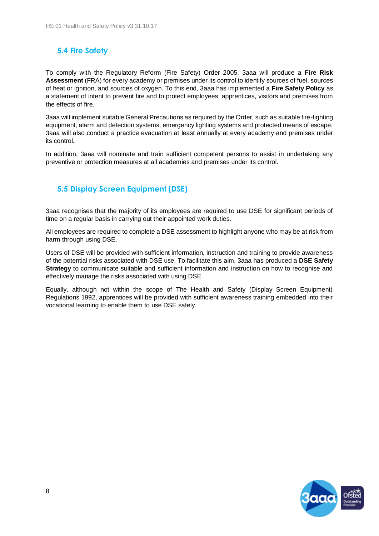#### <span id="page-7-0"></span>**5.4 Fire Safety**

To comply with the Regulatory Reform (Fire Safety) Order 2005, 3aaa will produce a **Fire Risk Assessment** (FRA) for every academy or premises under its control to identify sources of fuel, sources of heat or ignition, and sources of oxygen. To this end, 3aaa has implemented a **Fire Safety Policy** as a statement of intent to prevent fire and to protect employees, apprentices, visitors and premises from the effects of fire.

3aaa will implement suitable General Precautions as required by the Order, such as suitable fire-fighting equipment, alarm and detection systems, emergency lighting systems and protected means of escape. 3aaa will also conduct a practice evacuation at least annually at every academy and premises under its control.

In addition, 3aaa will nominate and train sufficient competent persons to assist in undertaking any preventive or protection measures at all academies and premises under its control.

#### <span id="page-7-1"></span>**5.5 Display Screen Equipment (DSE)**

3aaa recognises that the majority of its employees are required to use DSE for significant periods of time on a regular basis in carrying out their appointed work duties.

All employees are required to complete a DSE assessment to highlight anyone who may be at risk from harm through using DSE.

Users of DSE will be provided with sufficient information, instruction and training to provide awareness of the potential risks associated with DSE use. To facilitate this aim, 3aaa has produced a **DSE Safety Strategy** to communicate suitable and sufficient information and instruction on how to recognise and effectively manage the risks associated with using DSE.

Equally, although not within the scope of The Health and Safety (Display Screen Equipment) Regulations 1992, apprentices will be provided with sufficient awareness training embedded into their vocational learning to enable them to use DSE safely.

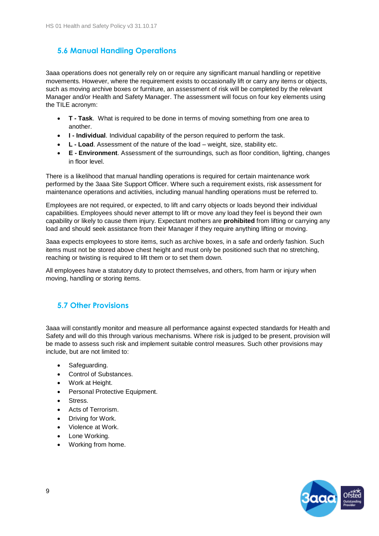#### <span id="page-8-0"></span>**5.6 Manual Handling Operations**

3aaa operations does not generally rely on or require any significant manual handling or repetitive movements. However, where the requirement exists to occasionally lift or carry any items or objects, such as moving archive boxes or furniture, an assessment of risk will be completed by the relevant Manager and/or Health and Safety Manager. The assessment will focus on four key elements using the TILE acronym:

- **T - Task**. What is required to be done in terms of moving something from one area to another.
- **I - Individual**. Individual capability of the person required to perform the task.
- **L - Load**. Assessment of the nature of the load weight, size, stability etc.
- **E - Environment**. Assessment of the surroundings, such as floor condition, lighting, changes in floor level.

There is a likelihood that manual handling operations is required for certain maintenance work performed by the 3aaa Site Support Officer. Where such a requirement exists, risk assessment for maintenance operations and activities, including manual handling operations must be referred to.

Employees are not required, or expected, to lift and carry objects or loads beyond their individual capabilities. Employees should never attempt to lift or move any load they feel is beyond their own capability or likely to cause them injury. Expectant mothers are **prohibited** from lifting or carrying any load and should seek assistance from their Manager if they require anything lifting or moving.

3aaa expects employees to store items, such as archive boxes, in a safe and orderly fashion. Such items must not be stored above chest height and must only be positioned such that no stretching, reaching or twisting is required to lift them or to set them down.

All employees have a statutory duty to protect themselves, and others, from harm or injury when moving, handling or storing items.

#### <span id="page-8-1"></span>**5.7 Other Provisions**

3aaa will constantly monitor and measure all performance against expected standards for Health and Safety and will do this through various mechanisms. Where risk is judged to be present, provision will be made to assess such risk and implement suitable control measures. Such other provisions may include, but are not limited to:

- Safeguarding.
- Control of Substances.
- Work at Height.
- Personal Protective Equipment.
- Stress.
- Acts of Terrorism.
- Driving for Work.
- Violence at Work.
- Lone Working.
- Working from home.